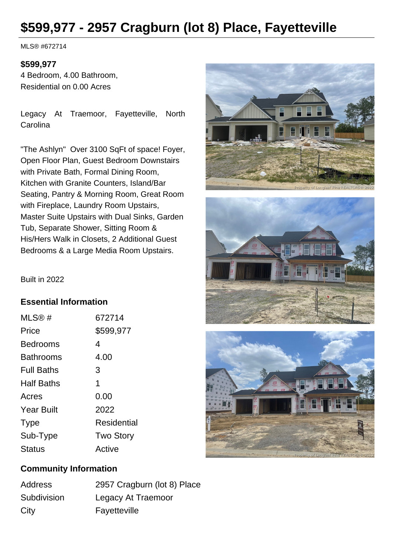# **\$599,977 - 2957 Cragburn (lot 8) Place, Fayetteville**

MLS® #672714

## **\$599,977**

4 Bedroom, 4.00 Bathroom, Residential on 0.00 Acres

Legacy At Traemoor, Fayetteville, North **Carolina** 

"The Ashlyn" Over 3100 SqFt of space! Foyer, Open Floor Plan, Guest Bedroom Downstairs with Private Bath, Formal Dining Room, Kitchen with Granite Counters, Island/Bar Seating, Pantry & Morning Room, Great Room with Fireplace, Laundry Room Upstairs, Master Suite Upstairs with Dual Sinks, Garden Tub, Separate Shower, Sitting Room & His/Hers Walk in Closets, 2 Additional Guest Bedrooms & a Large Media Room Upstairs.







#### Built in 2022

### **Essential Information**

| MLS@#             | 672714           |
|-------------------|------------------|
| Price             | \$599,977        |
| Bedrooms          | 4                |
| <b>Bathrooms</b>  | 4.00             |
| <b>Full Baths</b> | 3                |
| <b>Half Baths</b> | 1                |
| Acres             | 0.00             |
| <b>Year Built</b> | 2022             |
| <b>Type</b>       | Residential      |
| Sub-Type          | <b>Two Story</b> |
| <b>Status</b>     | Active           |

## **Community Information**

| <b>Address</b> | 2957 Cragburn (lot 8) Place |
|----------------|-----------------------------|
| Subdivision    | Legacy At Traemoor          |
| City           | Fayetteville                |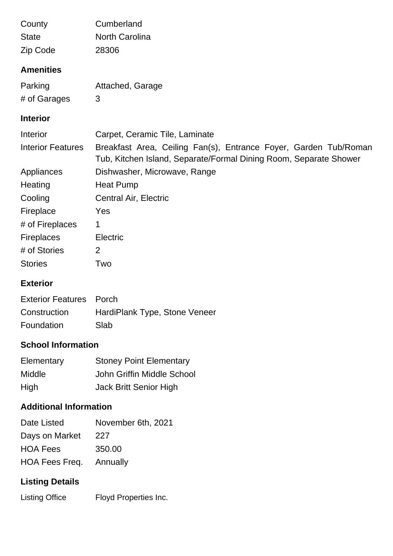| County                    | Cumberland                                                                                                                            |
|---------------------------|---------------------------------------------------------------------------------------------------------------------------------------|
| <b>State</b>              | <b>North Carolina</b>                                                                                                                 |
| Zip Code                  | 28306                                                                                                                                 |
| <b>Amenities</b>          |                                                                                                                                       |
| Parking                   | Attached, Garage                                                                                                                      |
| # of Garages              | 3                                                                                                                                     |
| <b>Interior</b>           |                                                                                                                                       |
| Interior                  | Carpet, Ceramic Tile, Laminate                                                                                                        |
| <b>Interior Features</b>  | Breakfast Area, Ceiling Fan(s), Entrance Foyer, Garden Tub/Roman<br>Tub, Kitchen Island, Separate/Formal Dining Room, Separate Shower |
| Appliances                | Dishwasher, Microwave, Range                                                                                                          |
| Heating                   | <b>Heat Pump</b>                                                                                                                      |
| Cooling                   | Central Air, Electric                                                                                                                 |
| Fireplace                 | Yes                                                                                                                                   |
| # of Fireplaces           | 1                                                                                                                                     |
| <b>Fireplaces</b>         | Electric                                                                                                                              |
| # of Stories              | 2                                                                                                                                     |
| <b>Stories</b>            | Two                                                                                                                                   |
| <b>Exterior</b>           |                                                                                                                                       |
| Eyteriar Featurea - Darah |                                                                                                                                       |

| Exterior Features Porch |                               |
|-------------------------|-------------------------------|
| Construction            | HardiPlank Type, Stone Veneer |
| Foundation              | Slab                          |

# **School Information**

| Elementary    | <b>Stoney Point Elementary</b> |
|---------------|--------------------------------|
| <b>Middle</b> | John Griffin Middle School     |
| High          | Jack Britt Senior High         |

## **Additional Information**

| Date Listed                    | November 6th, 2021 |
|--------------------------------|--------------------|
| Days on Market                 | 227                |
| <b>HOA Fees</b>                | 350.00             |
| <b>HOA Fees Freq.</b> Annually |                    |

# **Listing Details**

Listing Office Floyd Properties Inc.